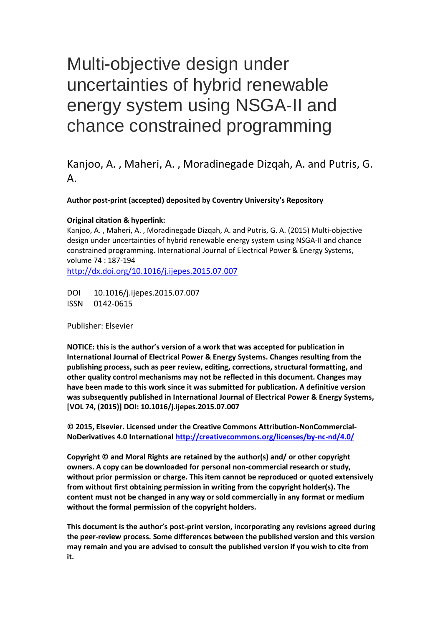# Multi-objective design under uncertainties of hybrid renewable energy system using NSGA-II and chance constrained programming

Kanjoo, A. , Maheri, A. , Moradinegade Dizqah, A. and Putris, G.  $\mathbf{A}$ .

## **Author post-print (accepted) deposited by Coventry University's Repository**

## **Original citation & hyperlink:**

Kanjoo, A. , Maheri, A. , Moradinegade Dizqah, A. and Putris, G. A. (2015) Multi-objective design under uncertainties of hybrid renewable energy system using NSGA-II and chance constrained programming. International Journal of Electrical Power & Energy Systems, volume 74 : 187-194

<http://dx.doi.org/10.1016/j.ijepes.2015.07.007>

DOI 10.1016/j.ijepes.2015.07.007 ISSN 0142-0615

Publisher: Elsevier

**NOTICE: this is the author's version of a work that was accepted for publication in International Journal of Electrical Power & Energy Systems. Changes resulting from the publishing process, such as peer review, editing, corrections, structural formatting, and other quality control mechanisms may not be reflected in this document. Changes may have been made to this work since it was submitted for publication. A definitive version was subsequently published in International Journal of Electrical Power & Energy Systems, [VOL 74, (2015)] DOI: 10.1016/j.ijepes.2015.07.007**

**© 2015, Elsevier. Licensed under the Creative Commons Attribution-NonCommercial-NoDerivatives 4.0 International<http://creativecommons.org/licenses/by-nc-nd/4.0/>**

**Copyright © and Moral Rights are retained by the author(s) and/ or other copyright owners. A copy can be downloaded for personal non-commercial research or study, without prior permission or charge. This item cannot be reproduced or quoted extensively from without first obtaining permission in writing from the copyright holder(s). The content must not be changed in any way or sold commercially in any format or medium without the formal permission of the copyright holders.** 

**This document is the author's post-print version, incorporating any revisions agreed during the peer-review process. Some differences between the published version and this version may remain and you are advised to consult the published version if you wish to cite from it.**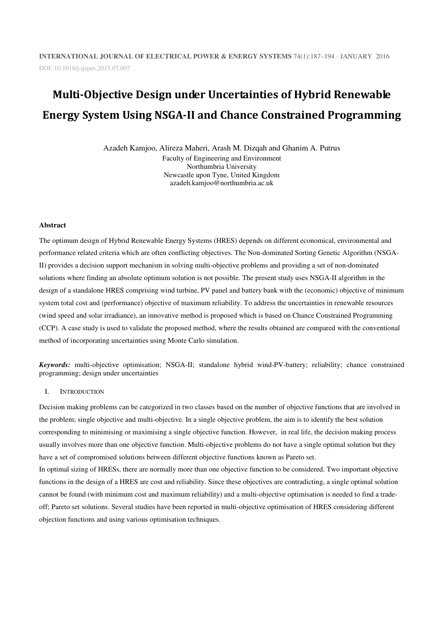## **Multi-Objective Design under Uncertainties of Hybrid Renewable Energy System Using NSGA-II and Chance Constrained Programming**

Azadeh Kamjoo, Alireza Maheri, Arash M. Dizqah and Ghanim A. Putrus Faculty of Engineering and Environment Northumbria University Newcastle upon Tyne, United Kingdom azadeh.kamjoo@northumbria.ac.uk

#### **Abstract**

The optimum design of Hybrid Renewable Energy Systems (HRES) depends on different economical, environmental and performance related criteria which are often conflicting objectives. The Non-dominated Sorting Genetic Algorithm (NSGA-II) provides a decision support mechanism in solving multi-objective problems and providing a set of non-dominated solutions where finding an absolute optimum solution is not possible. The present study uses NSGA-II algorithm in the design of a standalone HRES comprising wind turbine, PV panel and battery bank with the (economic) objective of minimum system total cost and (performance) objective of maximum reliability. To address the uncertainties in renewable resources (wind speed and solar irradiance), an innovative method is proposed which is based on Chance Constrained Programming (CCP). A case study is used to validate the proposed method, where the results obtained are compared with the conventional method of incorporating uncertainties using Monte Carlo simulation.

*Keywords:* multi-objective optimisation; NSGA-II; standalone hybrid wind-PV-battery; reliability; chance constrained programming; design under uncertainties

#### I. INTRODUCTION

Decision making problems can be categorized in two classes based on the number of objective functions that are involved in the problem; single objective and multi-objective. In a single objective problem, the aim is to identify the best solution corresponding to minimising or maximising a single objective function. However, in real life, the decision making process usually involves more than one objective function. Multi-objective problems do not have a single optimal solution but they have a set of compromised solutions between different objective functions known as Pareto set.

In optimal sizing of HRESs, there are normally more than one objective function to be considered. Two important objective functions in the design of a HRES are cost and reliability. Since these objectives are contradicting, a single optimal solution cannot be found (with minimum cost and maximum reliability) and a multi-objective optimisation is needed to find a tradeoff; Pareto set solutions. Several studies have been reported in multi-objective optimisation of HRES considering different objection functions and using various optimisation techniques.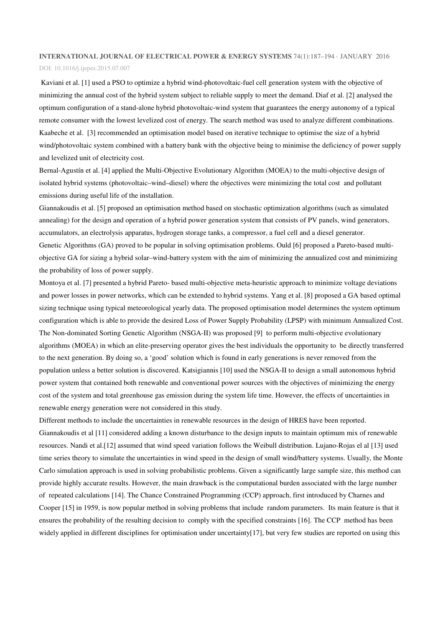DOI: 10.1016/j.ijepes.2015.07.007

 Kaviani et al. [1] used a PSO to optimize a hybrid wind-photovoltaic-fuel cell generation system with the objective of minimizing the annual cost of the hybrid system subject to reliable supply to meet the demand. Diaf et al. [2] analysed the optimum configuration of a stand-alone hybrid photovoltaic-wind system that guarantees the energy autonomy of a typical remote consumer with the lowest levelized cost of energy. The search method was used to analyze different combinations. Kaabeche et al. [3] recommended an optimisation model based on iterative technique to optimise the size of a hybrid wind/photovoltaic system combined with a battery bank with the objective being to minimise the deficiency of power supply and levelized unit of electricity cost.

Bernal-Agustín et al. [4] applied the Multi-Objective Evolutionary Algorithm (MOEA) to the multi-objective design of isolated hybrid systems (photovoltaic–wind–diesel) where the objectives were minimizing the total cost and pollutant emissions during useful life of the installation.

Giannakoudis et al. [5] proposed an optimisation method based on stochastic optimization algorithms (such as simulated annealing) for the design and operation of a hybrid power generation system that consists of PV panels, wind generators, accumulators, an electrolysis apparatus, hydrogen storage tanks, a compressor, a fuel cell and a diesel generator. Genetic Algorithms (GA) proved to be popular in solving optimisation problems. Ould [6] proposed a Pareto-based multiobjective GA for sizing a hybrid solar–wind-battery system with the aim of minimizing the annualized cost and minimizing the probability of loss of power supply.

Montoya et al. [7] presented a hybrid Pareto- based multi-objective meta-heuristic approach to minimize voltage deviations and power losses in power networks, which can be extended to hybrid systems. Yang et al. [8] proposed a GA based optimal sizing technique using typical meteorological yearly data. The proposed optimisation model determines the system optimum configuration which is able to provide the desired Loss of Power Supply Probability (LPSP) with minimum Annualized Cost. The Non-dominated Sorting Genetic Algorithm (NSGA-II) was proposed [9] to perform multi-objective evolutionary algorithms (MOEA) in which an elite-preserving operator gives the best individuals the opportunity to be directly transferred to the next generation. By doing so, a 'good' solution which is found in early generations is never removed from the population unless a better solution is discovered. Katsigiannis [10] used the NSGA-II to design a small autonomous hybrid power system that contained both renewable and conventional power sources with the objectives of minimizing the energy cost of the system and total greenhouse gas emission during the system life time. However, the effects of uncertainties in renewable energy generation were not considered in this study.

Different methods to include the uncertainties in renewable resources in the design of HRES have been reported. Giannakoudis et al [11] considered adding a known disturbance to the design inputs to maintain optimum mix of renewable resources. Nandi et al.[12] assumed that wind speed variation follows the Weibull distribution. Lujano-Rojas el al [13] used time series theory to simulate the uncertainties in wind speed in the design of small wind/battery systems. Usually, the Monte Carlo simulation approach is used in solving probabilistic problems. Given a significantly large sample size, this method can provide highly accurate results. However, the main drawback is the computational burden associated with the large number of repeated calculations [14]. The Chance Constrained Programming (CCP) approach, first introduced by Charnes and Cooper [15] in 1959, is now popular method in solving problems that include random parameters. Its main feature is that it ensures the probability of the resulting decision to comply with the specified constraints [16]. The CCP method has been widely applied in different disciplines for optimisation under uncertainty[17], but very few studies are reported on using this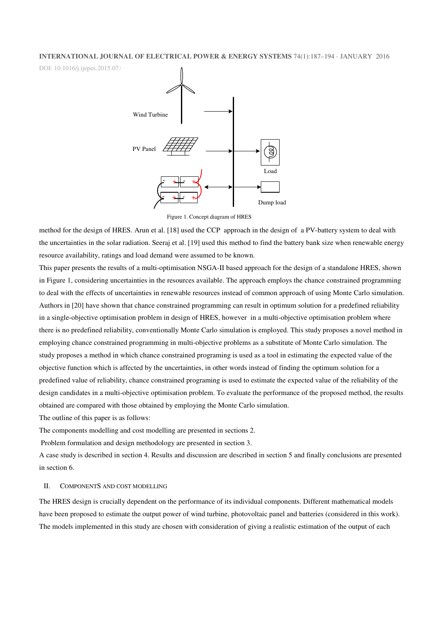DOI: 10.1016/j.ijepes.2015.07.



Figure 1. Concept diagram of HRES

method for the design of HRES. Arun et al. [18] used the CCP approach in the design of a PV-battery system to deal with the uncertainties in the solar radiation. Seeraj et al. [19] used this method to find the battery bank size when renewable energy resource availability, ratings and load demand were assumed to be known.

This paper presents the results of a multi-optimisation NSGA-II based approach for the design of a standalone HRES, shown in Figure 1, considering uncertainties in the resources available. The approach employs the chance constrained programming to deal with the effects of uncertainties in renewable resources instead of common approach of using Monte Carlo simulation. Authors in [20] have shown that chance constrained programming can result in optimum solution for a predefined reliability in a single-objective optimisation problem in design of HRES, however in a multi-objective optimisation problem where there is no predefined reliability, conventionally Monte Carlo simulation is employed. This study proposes a novel method in employing chance constrained programming in multi-objective problems as a substitute of Monte Carlo simulation. The study proposes a method in which chance constrained programing is used as a tool in estimating the expected value of the objective function which is affected by the uncertainties, in other words instead of finding the optimum solution for a predefined value of reliability, chance constrained programing is used to estimate the expected value of the reliability of the design candidates in a multi-objective optimisation problem. To evaluate the performance of the proposed method, the results obtained are compared with those obtained by employing the Monte Carlo simulation.

The outline of this paper is as follows:

The components modelling and cost modelling are presented in sections 2.

Problem formulation and design methodology are presented in section 3.

A case study is described in section 4. Results and discussion are described in section 5 and finally conclusions are presented in section 6.

#### II. COMPONENTS AND COST MODELLING

The HRES design is crucially dependent on the performance of its individual components. Different mathematical models have been proposed to estimate the output power of wind turbine, photovoltaic panel and batteries (considered in this work). The models implemented in this study are chosen with consideration of giving a realistic estimation of the output of each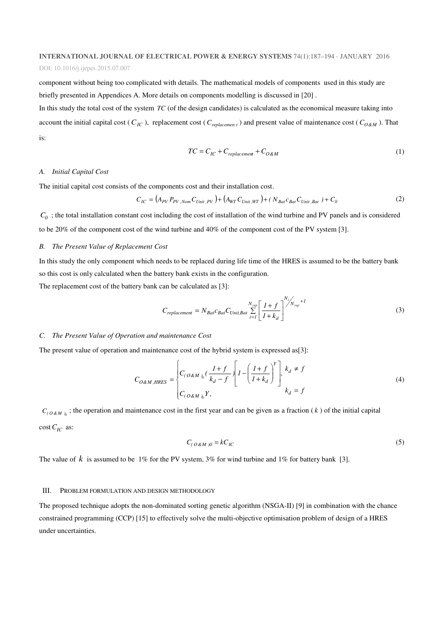#### DOI: 10.1016/j.ijepes.2015.07.007

component without being too complicated with details. The mathematical models of components used in this study are briefly presented in Appendices A. More details on components modelling is discussed in [20] .

In this study the total cost of the system *TC* (of the design candidates) is calculated as the economical measure taking into account the initial capital cost ( $C_{IC}$ ), replacement cost ( $C_{replacement}$ ) and present value of maintenance cost ( $C_{O\&M}$ ). That is:

$$
TC = C_{IC} + C_{replacement} + C_{O\&M}
$$
 (1)

#### *A. Initial Capital Cost*

The initial capital cost consists of the components cost and their installation cost.

$$
C_{IC} = (A_{PV} P_{PV, Nom} C_{Unit, PV}) + (A_{WT} C_{Unit, WT}) + (N_{Bat} C_{Bat} C_{Unit, Bat}) + C_0
$$
\n(2)

 $C_0$ ; the total installation constant cost including the cost of installation of the wind turbine and PV panels and is considered to be 20% of the component cost of the wind turbine and 40% of the component cost of the PV system [3].

#### *B. The Present Value of Replacement Cost*

In this study the only component which needs to be replaced during life time of the HRES is assumed to be the battery bank so this cost is only calculated when the battery bank exists in the configuration.

The replacement cost of the battery bank can be calculated as [3]:

$$
C_{replacement} = N_{Bat} C_{Bat} C_{Unit, Bat} \sum_{i=1}^{N_{rep}} \left[ \frac{I+f}{I+k_d} \right]^{N_i / N_{rep} + I}
$$
(3)

#### *C. The Present Value of Operation and maintenance Cost*

The present value of operation and maintenance cost of the hybrid system is expressed as[3]:

$$
C_{O\&M,HRES} = \begin{cases} C_{(O\&M)_0} \left(\frac{1+f}{k_d-f}\right) \left[1-\left(\frac{1+f}{1+k_d}\right)^Y\right], k_d \neq f \\ C_{(O\&M)_0} Y, \end{cases} \tag{4}
$$

 $C_{(\text{OEM})_0}$ ; the operation and maintenance cost in the first year and can be given as a fraction (*k*) of the initial capital  $\cot C_{IC}$  as:

$$
C_{(\text{OMM})0} = k C_{IC} \tag{5}
$$

The value of  $k$  is assumed to be 1% for the PV system, 3% for wind turbine and 1% for battery bank [3].

#### III. PROBLEM FORMULATION AND DESIGN METHODOLOGY

The proposed technique adopts the non-dominated sorting genetic algorithm (NSGA-II) [9] in combination with the chance constrained programming (CCP) [15] to effectively solve the multi-objective optimisation problem of design of a HRES under uncertainties.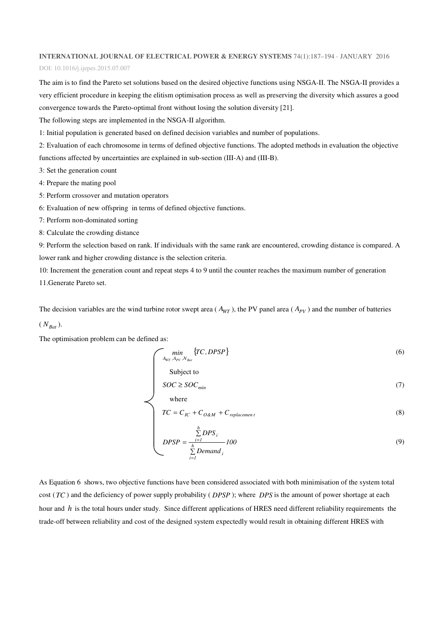DOI: 10.1016/j.ijepes.2015.07.007

The aim is to find the Pareto set solutions based on the desired objective functions using NSGA-II. The NSGA-II provides a very efficient procedure in keeping the elitism optimisation process as well as preserving the diversity which assures a good convergence towards the Pareto-optimal front without losing the solution diversity [21].

The following steps are implemented in the NSGA-II algorithm.

1: Initial population is generated based on defined decision variables and number of populations.

2: Evaluation of each chromosome in terms of defined objective functions. The adopted methods in evaluation the objective functions affected by uncertainties are explained in sub-section (III-A) and (III-B).

3: Set the generation count

4: Prepare the mating pool

5: Perform crossover and mutation operators

6: Evaluation of new offspring in terms of defined objective functions.

7: Perform non-dominated sorting

8: Calculate the crowding distance

9: Perform the selection based on rank. If individuals with the same rank are encountered, crowding distance is compared. A lower rank and higher crowding distance is the selection criteria.

10: Increment the generation count and repeat steps 4 to 9 until the counter reaches the maximum number of generation 11.Generate Pareto set.

The decision variables are the wind turbine rotor swept area ( $A_{WT}$ ), the PV panel area ( $A_{PV}$ ) and the number of batteries

Subject to

where

 $(N_{Bat}).$ 

The optimisation problem can be defined as:

$$
\left\{\n\min_{A_{WT}, A_{PV}, N_{Bat}} \{TC, DPSP\}\n\right\}\n\tag{6}
$$

$$
SOC \geq SOC_{min} \tag{7}
$$

$$
TC = C_{IC} + C_{O\&M} + C_{replacement}
$$
\n(8)

$$
DPSP = \frac{\sum_{i=1}^{h} DPS_i}{\sum_{i=1}^{h} Demon_i} 100
$$
 (9)

As Equation 6 shows, two objective functions have been considered associated with both minimisation of the system total cost (*TC* ) and the deficiency of power supply probability ( *DPSP* ); where *DPS* is the amount of power shortage at each hour and *h* is the total hours under study. Since different applications of HRES need different reliability requirements the trade-off between reliability and cost of the designed system expectedly would result in obtaining different HRES with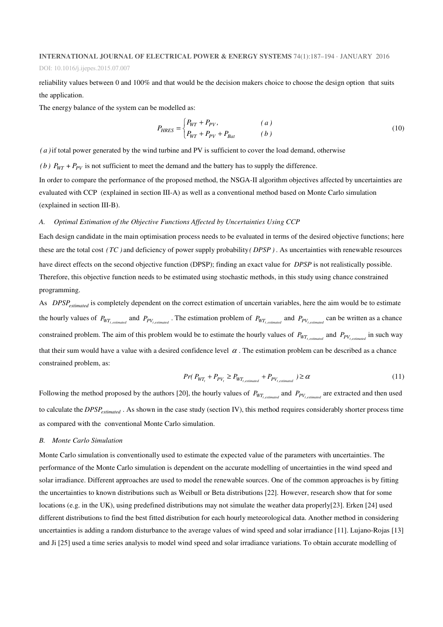DOI: 10.1016/j.ijepes.2015.07.007

reliability values between 0 and 100% and that would be the decision makers choice to choose the design option that suits the application.

The energy balance of the system can be modelled as:

$$
P_{HRES} = \begin{cases} P_{WT} + P_{PV}, & (a) \\ P_{WT} + P_{PV} + P_{Bat} & (b) \end{cases}
$$
 (10)

*(a)* if total power generated by the wind turbine and PV is sufficient to cover the load demand, otherwise

*(b)*  $P_{WT}$  +  $P_{PV}$  is not sufficient to meet the demand and the battery has to supply the difference.

In order to compare the performance of the proposed method, the NSGA-II algorithm objectives affected by uncertainties are evaluated with CCP (explained in section III-A) as well as a conventional method based on Monte Carlo simulation (explained in section III-B).

#### *A. Optimal Estimation of the Objective Functions Affected by Uncertainties Using CCP*

Each design candidate in the main optimisation process needs to be evaluated in terms of the desired objective functions; here these are the total cost *TC( )* and deficiency of power supply probability*( DPSP )* . As uncertainties with renewable resources have direct effects on the second objective function (DPSP); finding an exact value for *DPSP* is not realistically possible. Therefore, this objective function needs to be estimated using stochastic methods, in this study using chance constrained programming.

As *DPSP<sub>estimated</sub>* is completely dependent on the correct estimation of uncertain variables, here the aim would be to estimate the hourly values of  $P_{WT_{t, estimated}}$  and  $P_{PV_{t, estimated}}$ . The estimation problem of  $P_{WT_{t, estimated}}$  and  $P_{PV_{t, estimated}}$  can be written as a chance constrained problem. The aim of this problem would be to estimate the hourly values of  $P_{WT_{t, estimated}}$  and  $P_{PV_{t, estimated}}$  in such way that their sum would have a value with a desired confidence level  $\alpha$ . The estimation problem can be described as a chance constrained problem, as:

$$
Pr(P_{WT_t} + P_{PV_t} \ge P_{WT_{t, estimated}} + P_{PV_{t, estimated}}) \ge \alpha
$$
\n(11)

Following the method proposed by the authors [20], the hourly values of  $P_{WT_{t, estimated}}$  and  $P_{PV_{t, estimated}}$  are extracted and then used to calculate the *DPSPestimated* . As shown in the case study (section IV), this method requires considerably shorter process time as compared with the conventional Monte Carlo simulation.

#### *B. Monte Carlo Simulation*

Monte Carlo simulation is conventionally used to estimate the expected value of the parameters with uncertainties. The performance of the Monte Carlo simulation is dependent on the accurate modelling of uncertainties in the wind speed and solar irradiance. Different approaches are used to model the renewable sources. One of the common approaches is by fitting the uncertainties to known distributions such as Weibull or Beta distributions [22]. However, research show that for some locations (e.g. in the UK), using predefined distributions may not simulate the weather data properly[23]. Erken [24] used different distributions to find the best fitted distribution for each hourly meteorological data. Another method in considering uncertainties is adding a random disturbance to the average values of wind speed and solar irradiance [11]. Lujano-Rojas [13] and Ji [25] used a time series analysis to model wind speed and solar irradiance variations. To obtain accurate modelling of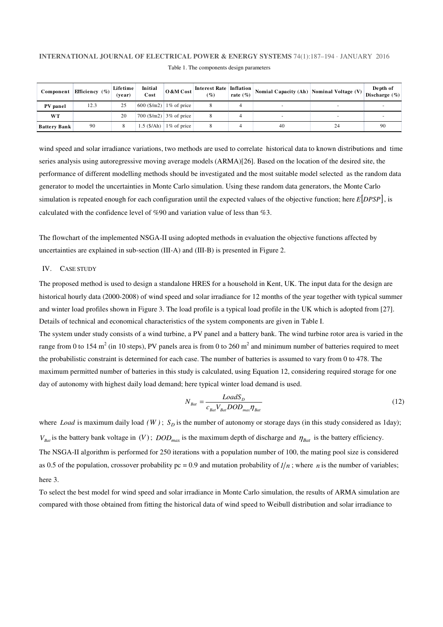|                     | Component Efficiency (%) | Lifetime<br>(vear) | Initial<br>Cost | O &M Cost                                  | Interest Rate   Inflation  <br>$(\%)$ | rate $(\% )$ | Nomial Capacity (Ah)   Nominal Voltage (V) |    | Depth of<br>Discharge $(\%)$ |
|---------------------|--------------------------|--------------------|-----------------|--------------------------------------------|---------------------------------------|--------------|--------------------------------------------|----|------------------------------|
| PV panel            | 12.3                     | 25                 |                 | $600$ (\$/m2) 1\% of price                 |                                       |              |                                            |    |                              |
| WТ                  |                          | 20                 |                 | 700 ( $\frac{\rm S}{\rm m2}$ ) 3% of price |                                       |              |                                            |    |                              |
| <b>Battery Bank</b> | 90                       |                    |                 | 1.5 $(\frac{15}{10})$ 1\% of price         |                                       |              | 40                                         | 24 | 90                           |

Table 1. The components design parameters

wind speed and solar irradiance variations, two methods are used to correlate historical data to known distributions and time series analysis using autoregressive moving average models (ARMA)[26]. Based on the location of the desired site, the performance of different modelling methods should be investigated and the most suitable model selected as the random data generator to model the uncertainties in Monte Carlo simulation. Using these random data generators, the Monte Carlo simulation is repeated enough for each configuration until the expected values of the objective function; here *E*[*DPSP*], is calculated with the confidence level of %90 and variation value of less than %3.

The flowchart of the implemented NSGA-II using adopted methods in evaluation the objective functions affected by uncertainties are explained in sub-section (III-A) and (III-B) is presented in Figure 2.

#### IV. CASE STUDY

The proposed method is used to design a standalone HRES for a household in Kent, UK. The input data for the design are historical hourly data (2000-2008) of wind speed and solar irradiance for 12 months of the year together with typical summer and winter load profiles shown in Figure 3. The load profile is a typical load profile in the UK which is adopted from [27]. Details of technical and economical characteristics of the system components are given in Table I.

The system under study consists of a wind turbine, a PV panel and a battery bank. The wind turbine rotor area is varied in the range from 0 to 154 m<sup>2</sup> (in 10 steps), PV panels area is from 0 to 260 m<sup>2</sup> and minimum number of batteries required to meet the probabilistic constraint is determined for each case. The number of batteries is assumed to vary from 0 to 478. The maximum permitted number of batteries in this study is calculated, using Equation 12, considering required storage for one day of autonomy with highest daily load demand; here typical winter load demand is used.

$$
N_{\text{Bat}} = \frac{LoadS_D}{c_{\text{Bat}} V_{\text{Bat}} DOD_{\text{max}} \eta_{\text{Bat}}}
$$
(12)

where *Load* is maximum daily load  $(W)$ ;  $S<sub>D</sub>$  is the number of autonomy or storage days (in this study considered as 1day);  $V_{Bat}$  is the battery bank voltage in *(V)*; *DOD<sub>max</sub>* is the maximum depth of discharge and  $\eta_{Bat}$  is the battery efficiency. The NSGA-II algorithm is performed for 250 iterations with a population number of 100, the mating pool size is considered as 0.5 of the population, crossover probability pc = 0.9 and mutation probability of  $I/n$ ; where *n* is the number of variables; here 3.

To select the best model for wind speed and solar irradiance in Monte Carlo simulation, the results of ARMA simulation are compared with those obtained from fitting the historical data of wind speed to Weibull distribution and solar irradiance to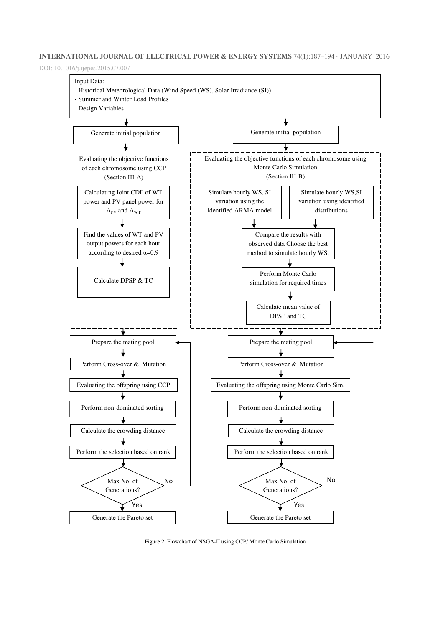DOI: 10.1016/j.ijepes.2015.07.007



Figure 2. Flowchart of NSGA-II using CCP/ Monte Carlo Simulation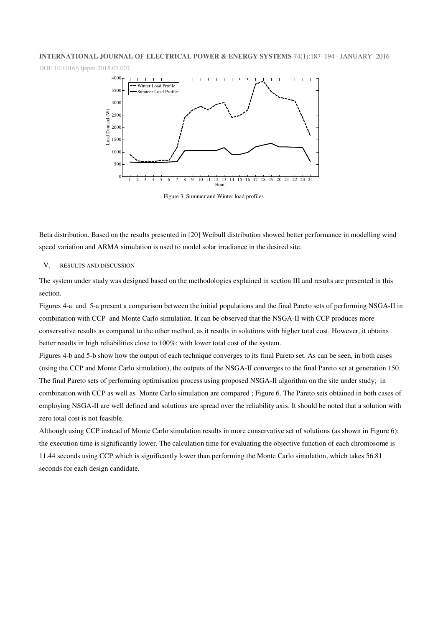DOI: 10.1016/j.ijepes.2015.07.007



Figure 3. Summer and Winter load profiles

Beta distribution. Based on the results presented in [20] Weibull distribution showed better performance in modelling wind speed variation and ARMA simulation is used to model solar irradiance in the desired site.

#### V. RESULTS AND DISCUSSION

The system under study was designed based on the methodologies explained in section III and results are presented in this section.

Figures 4-a and 5-a present a comparison between the initial populations and the final Pareto sets of performing NSGA-II in combination with CCP and Monte Carlo simulation. It can be observed that the NSGA-II with CCP produces more conservative results as compared to the other method, as it results in solutions with higher total cost. However, it obtains better results in high reliabilities close to 100%; with lower total cost of the system.

Figures 4-b and 5-b show how the output of each technique converges to its final Pareto set. As can be seen, in both cases (using the CCP and Monte Carlo simulation), the outputs of the NSGA-II converges to the final Pareto set at generation 150. The final Pareto sets of performing optimisation process using proposed NSGA-II algorithm on the site under study; in combination with CCP as well as Monte Carlo simulation are compared ; Figure 6. The Pareto sets obtained in both cases of employing NSGA-II are well defined and solutions are spread over the reliability axis. It should be noted that a solution with zero total cost is not feasible.

Although using CCP instead of Monte Carlo simulation results in more conservative set of solutions (as shown in Figure 6); the execution time is significantly lower. The calculation time for evaluating the objective function of each chromosome is 11.44 seconds using CCP which is significantly lower than performing the Monte Carlo simulation, which takes 56.81 seconds for each design candidate.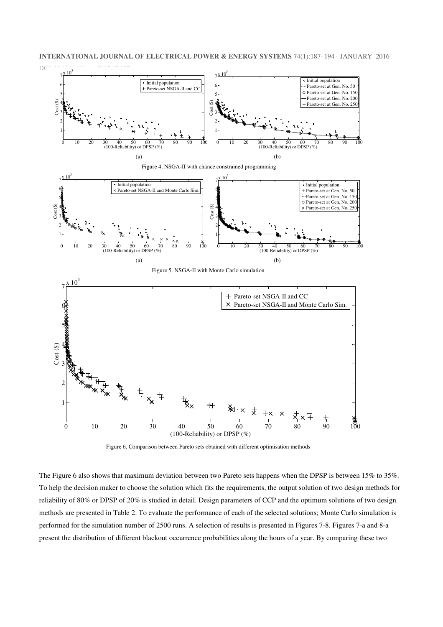**INTERNATIONAL JOURNAL OF ELECTRICAL POWER & ENERGY SYSTEMS** 74(1):187–194 · JANUARY 2016



Figure 6. Comparison between Pareto sets obtained with different optimisation methods

The Figure 6 also shows that maximum deviation between two Pareto sets happens when the DPSP is between 15% to 35%. To help the decision maker to choose the solution which fits the requirements, the output solution of two design methods for reliability of 80% or DPSP of 20% is studied in detail. Design parameters of CCP and the optimum solutions of two design methods are presented in Table 2. To evaluate the performance of each of the selected solutions; Monte Carlo simulation is performed for the simulation number of 2500 runs. A selection of results is presented in Figures 7-8. Figures 7-a and 8-a present the distribution of different blackout occurrence probabilities along the hours of a year. By comparing these two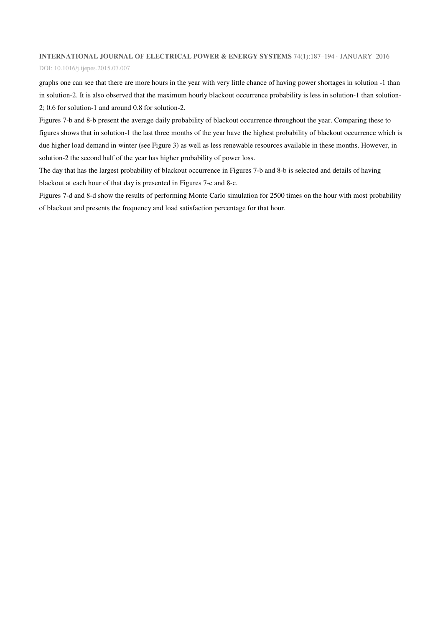DOI: 10.1016/j.ijepes.2015.07.007

graphs one can see that there are more hours in the year with very little chance of having power shortages in solution -1 than in solution-2. It is also observed that the maximum hourly blackout occurrence probability is less in solution-1 than solution-2; 0.6 for solution-1 and around 0.8 for solution-2.

Figures 7-b and 8-b present the average daily probability of blackout occurrence throughout the year. Comparing these to figures shows that in solution-1 the last three months of the year have the highest probability of blackout occurrence which is due higher load demand in winter (see Figure 3) as well as less renewable resources available in these months. However, in solution-2 the second half of the year has higher probability of power loss.

The day that has the largest probability of blackout occurrence in Figures 7-b and 8-b is selected and details of having blackout at each hour of that day is presented in Figures 7-c and 8-c.

Figures 7-d and 8-d show the results of performing Monte Carlo simulation for 2500 times on the hour with most probability of blackout and presents the frequency and load satisfaction percentage for that hour.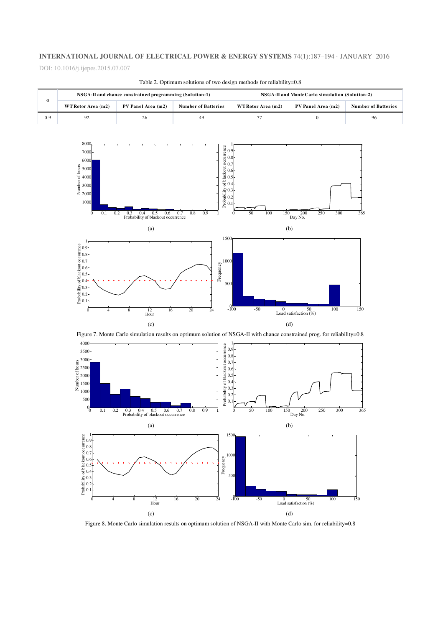DOI: 10.1016/j.ijepes.2015.07.007

| $\alpha$ |                    | NSGA-II and chance constrained programming (Solution-1) |                            | NSGA-II and Monte Carlo simulation (Solution-2) |                    |                            |  |
|----------|--------------------|---------------------------------------------------------|----------------------------|-------------------------------------------------|--------------------|----------------------------|--|
|          | WT Rotor Area (m2) | PV Panel Area (m2)                                      | <b>Number of Batteries</b> | WTRotor Area (m2)                               | PV Panel Area (m2) | <b>Number of Batteries</b> |  |
| 0.9      | 92                 | 26                                                      | 49                         |                                                 |                    | 96                         |  |

Table 2. Optimum solutions of two design methods for reliability=0.8







Figure 8. Monte Carlo simulation results on optimum solution of NSGA-II with Monte Carlo sim. for reliability=0.8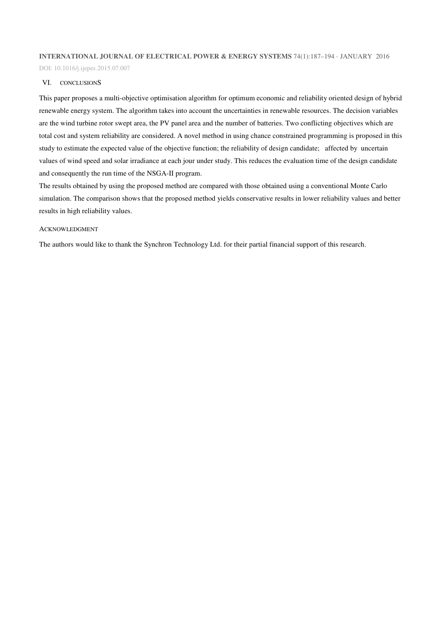DOI: 10.1016/j.ijepes.2015.07.007

#### VI. CONCLUSIONS

This paper proposes a multi-objective optimisation algorithm for optimum economic and reliability oriented design of hybrid renewable energy system. The algorithm takes into account the uncertainties in renewable resources. The decision variables are the wind turbine rotor swept area, the PV panel area and the number of batteries. Two conflicting objectives which are total cost and system reliability are considered. A novel method in using chance constrained programming is proposed in this study to estimate the expected value of the objective function; the reliability of design candidate; affected by uncertain values of wind speed and solar irradiance at each jour under study. This reduces the evaluation time of the design candidate and consequently the run time of the NSGA-II program.

The results obtained by using the proposed method are compared with those obtained using a conventional Monte Carlo simulation. The comparison shows that the proposed method yields conservative results in lower reliability values and better results in high reliability values.

#### ACKNOWLEDGMENT

The authors would like to thank the Synchron Technology Ltd. for their partial financial support of this research.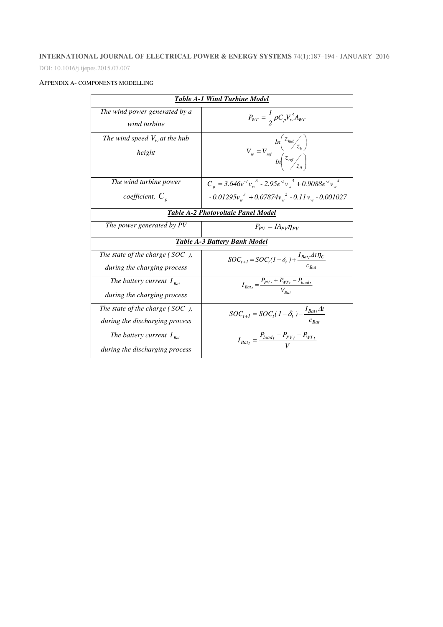DOI: 10.1016/j.ijepes.2015.07.007

### APPENDIX A- COMPONENTS MODELLING

| <b>Table A-1 Wind Turbine Model</b>                                    |                                                                                                                       |  |  |  |  |
|------------------------------------------------------------------------|-----------------------------------------------------------------------------------------------------------------------|--|--|--|--|
| The wind power generated by a<br>wind turbine                          | $P_{WT} = \frac{1}{2} \rho C_p V_w^3 A_{WT}$                                                                          |  |  |  |  |
| The wind speed $V_w$ at the hub<br>height                              | $V_w = V_{ref} \frac{ln\left(\frac{z_{hub}}{z_0}\right)}{ln\left(\frac{z_{ref}}{z_0}\right)}$                         |  |  |  |  |
| The wind turbine power<br>coefficient, $C_p$                           | $C_p = 3.646e^{-7}v_w^6 - 2.95e^{-5}v_w^5 + 0.9088e^{-3}v_w^4$<br>$-0.01295v_w^3 + 0.07874v_w^2 - 0.11v_w - 0.001027$ |  |  |  |  |
| Table A-2 Photovoltaic Panel Model                                     |                                                                                                                       |  |  |  |  |
| The power generated by PV                                              | $P_{\rm PV} = I A_{\rm PV} \eta_{\rm PV}$                                                                             |  |  |  |  |
|                                                                        | <b>Table A-3 Battery Bank Model</b>                                                                                   |  |  |  |  |
| The state of the charge $(SOC)$ ,<br>during the charging process       | $SOC_{t+1} = SOC_t (1 - \delta_t) + \frac{I_{Bat_t} At \eta_C}{c_{Rat}}$                                              |  |  |  |  |
| The battery current $I_{\text{Rat}}$<br>during the charging process    | $I_{Bat} = \frac{P_{PV} + P_{WT} - P_{load_t}}{V_{\odot}}$                                                            |  |  |  |  |
| The state of the charge $(SOC)$ ,<br>during the discharging process    | $SOC_{t+1} = SOC_t (1 - \delta_t) - \frac{I_{Batt} \Delta t}{c}$                                                      |  |  |  |  |
| The battery current $I_{\text{Bat}}$<br>during the discharging process | $I_{Batt} = \frac{P_{load_t} - P_{PV_t} - P_{WT_t}}{V}$                                                               |  |  |  |  |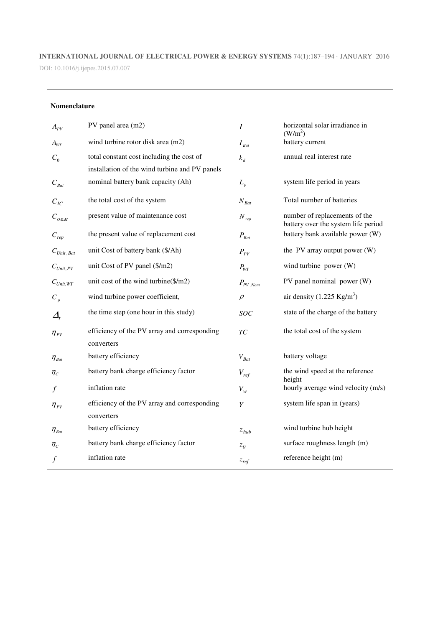DOI: 10.1016/j.ijepes.2015.07.007

#### **Nomenclature**

| $A_{PV}$                         | PV panel area (m2)                             | I                             | horizontal solar irradiance in<br>(W/m <sup>2</sup> )                |
|----------------------------------|------------------------------------------------|-------------------------------|----------------------------------------------------------------------|
| $A_{WT}$                         | wind turbine rotor disk area (m2)              | $I_{\scriptscriptstyle{Bat}}$ | battery current                                                      |
| $C_0$                            | total constant cost including the cost of      | $k_d$                         | annual real interest rate                                            |
|                                  | installation of the wind turbine and PV panels |                               |                                                                      |
| $C_{\text{Bat}}$                 | nominal battery bank capacity (Ah)             | $L_p$                         | system life period in years                                          |
| $C_{IC}$                         | the total cost of the system                   | $N_{\text{Bat}}$              | Total number of batteries                                            |
| $C_{O\&M}$                       | present value of maintenance cost              | $N_{rep}$                     | number of replacements of the<br>battery over the system life period |
| $C_{rep}$                        | the present value of replacement cost          | $P_{\textit{Bat}}$            | battery bank available power (W)                                     |
| $C_{Unit,Bat}$                   | unit Cost of battery bank (\$/Ah)              | $P_{\scriptscriptstyle PV}$   | the PV array output power $(W)$                                      |
| $C_{Unit.PV}$                    | unit Cost of PV panel (\$/m2)                  | $P_{WT}$                      | wind turbine power (W)                                               |
| $C_{Unit, WT}$                   | unit cost of the wind turbine(\$/m2)           | $P_{PV,Nom}$                  | PV panel nominal power (W)                                           |
| $C_p$                            | wind turbine power coefficient,                | $\rho$                        | air density $(1.225 \text{ Kg/m}^3)$                                 |
| $\varDelta$                      | the time step (one hour in this study)         | SOC                           | state of the charge of the battery                                   |
| $\eta_{\scriptscriptstyle PV}$   | efficiency of the PV array and corresponding   | $\mathcal{TC}$                | the total cost of the system                                         |
|                                  | converters                                     |                               |                                                                      |
| $\eta_{\scriptscriptstyle{Bat}}$ | battery efficiency                             | $V_{Bat}$                     | battery voltage                                                      |
| $\eta_c$                         | battery bank charge efficiency factor          | $V_{ref}$                     | the wind speed at the reference<br>height                            |
| $\int$                           | inflation rate                                 | $V_w$                         | hourly average wind velocity (m/s)                                   |
| $\eta_{\scriptscriptstyle PV}$   | efficiency of the PV array and corresponding   | Y                             | system life span in (years)                                          |
|                                  | converters                                     |                               |                                                                      |
| $\eta_{\scriptscriptstyle{Bat}}$ | battery efficiency                             | $z_{hub}$                     | wind turbine hub height                                              |
| $\eta_c$                         | battery bank charge efficiency factor          | $z_0$                         | surface roughness length (m)                                         |
| $\boldsymbol{f}$                 | inflation rate                                 | $z_{ref}$                     | reference height (m)                                                 |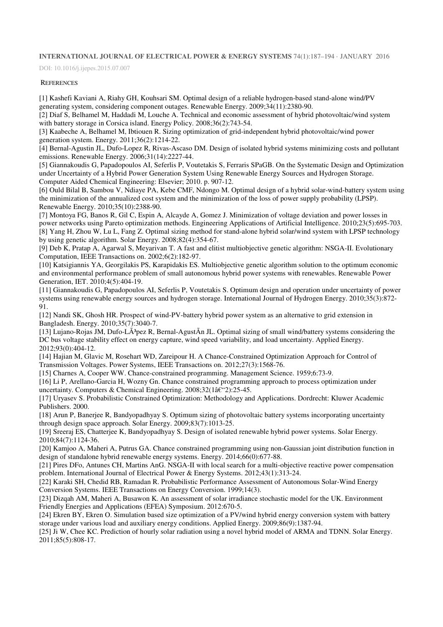DOI: 10.1016/j.ijepes.2015.07.007

#### **REFERENCES**

[1] Kashefi Kaviani A, Riahy GH, Kouhsari SM. Optimal design of a reliable hydrogen-based stand-alone wind/PV generating system, considering component outages. Renewable Energy. 2009;34(11):2380-90.

[2] Diaf S, Belhamel M, Haddadi M, Louche A. Technical and economic assessment of hybrid photovoltaic/wind system with battery storage in Corsica island. Energy Policy. 2008;36(2):743-54.

[3] Kaabeche A, Belhamel M, Ibtiouen R. Sizing optimization of grid-independent hybrid photovoltaic/wind power generation system. Energy. 2011;36(2):1214-22.

[4] Bernal-Agustin JL, Dufo-Lopez R, Rivas-Ascaso DM. Design of isolated hybrid systems minimizing costs and pollutant emissions. Renewable Energy. 2006;31(14):2227-44.

[5] Giannakoudis G, Papadopoulos AI, Seferlis P, Voutetakis S, Ferraris SPaGB. On the Systematic Design and Optimization under Uncertainty of a Hybrid Power Generation System Using Renewable Energy Sources and Hydrogen Storage. Computer Aided Chemical Engineering: Elsevier; 2010. p. 907-12.

[6] Ould Bilal B, Sambou V, Ndiaye PA, Kebe CMF, Ndongo M. Optimal design of a hybrid solar-wind-battery system using the minimization of the annualized cost system and the minimization of the loss of power supply probability (LPSP). Renewable Energy. 2010;35(10):2388-90.

[7] Montoya FG, Banos R, Gil C, Espin A, Alcayde A, Gomez J. Minimization of voltage deviation and power losses in power networks using Pareto optimization methods. Engineering Applications of Artificial Intelligence. 2010;23(5):695-703. [8] Yang H, Zhou W, Lu L, Fang Z. Optimal sizing method for stand-alone hybrid solar/wind system with LPSP technology by using genetic algorithm. Solar Energy. 2008;82(4):354-67.

[9] Deb K, Pratap A, Agarwal S, Meyarivan T. A fast and elitist multiobjective genetic algorithm: NSGA-II. Evolutionary Computation, IEEE Transactions on. 2002;6(2):182-97.

[10] Katsigiannis YA, Georgilakis PS, Karapidakis ES. Multiobjective genetic algorithm solution to the optimum economic and environmental performance problem of small autonomous hybrid power systems with renewables. Renewable Power Generation, IET. 2010;4(5):404-19.

[11] Giannakoudis G, Papadopoulos AI, Seferlis P, Voutetakis S. Optimum design and operation under uncertainty of power systems using renewable energy sources and hydrogen storage. International Journal of Hydrogen Energy. 2010;35(3):872- 91.

[12] Nandi SK, Ghosh HR. Prospect of wind-PV-battery hybrid power system as an alternative to grid extension in Bangladesh. Energy. 2010;35(7):3040-7.

[13] Lujano-Rojas JM, Dufo-LÃ<sup>3</sup>pez R, Bernal-AgustÃn JL. Optimal sizing of small wind/battery systems considering the DC bus voltage stability effect on energy capture, wind speed variability, and load uncertainty. Applied Energy. 2012;93(0):404-12.

[14] Hajian M, Glavic M, Rosehart WD, Zareipour H. A Chance-Constrained Optimization Approach for Control of Transmission Voltages. Power Systems, IEEE Transactions on. 2012;27(3):1568-76.

[15] Charnes A, Cooper WW. Chance-constrained programming. Management Science. 1959;6:73-9.

[16] Li P, Arellano-Garcia H, Wozny Gn. Chance constrained programming approach to process optimization under uncertainty. Computers & Chemical Engineering.  $2008;32(1â€``2):25-45.$ 

[17] Uryasev S. Probabilistic Constrained Optimization: Methodology and Applications. Dordrecht: Kluwer Academic Publishers. 2000.

[18] Arun P, Banerjee R, Bandyopadhyay S. Optimum sizing of photovoltaic battery systems incorporating uncertainty through design space approach. Solar Energy. 2009;83(7):1013-25.

[19] Sreeraj ES, Chatterjee K, Bandyopadhyay S. Design of isolated renewable hybrid power systems. Solar Energy. 2010;84(7):1124-36.

[20] Kamjoo A, Maheri A, Putrus GA. Chance constrained programming using non-Gaussian joint distribution function in design of standalone hybrid renewable energy systems. Energy. 2014;66(0):677-88.

[21] Pires DFo, Antunes CH, Martins AnG. NSGA-II with local search for a multi-objective reactive power compensation problem. International Journal of Electrical Power & Energy Systems. 2012;43(1):313-24.

[22] Karaki SH, Chedid RB, Ramadan R. Probabilistic Performance Assessment of Autonomous Solar-Wind Energy Conversion Systems. IEEE Transactions on Energy Conversion. 1999;14(3).

[23] Dizqah AM, Maheri A, Busawon K. An assessment of solar irradiance stochastic model for the UK. Environment Friendly Energies and Applications (EFEA) Symposium. 2012:670-5.

[24] Ekren BY, Ekren O. Simulation based size optimization of a PV/wind hybrid energy conversion system with battery storage under various load and auxiliary energy conditions. Applied Energy. 2009;86(9):1387-94.

[25] Ji W, Chee KC. Prediction of hourly solar radiation using a novel hybrid model of ARMA and TDNN. Solar Energy. 2011;85(5):808-17.